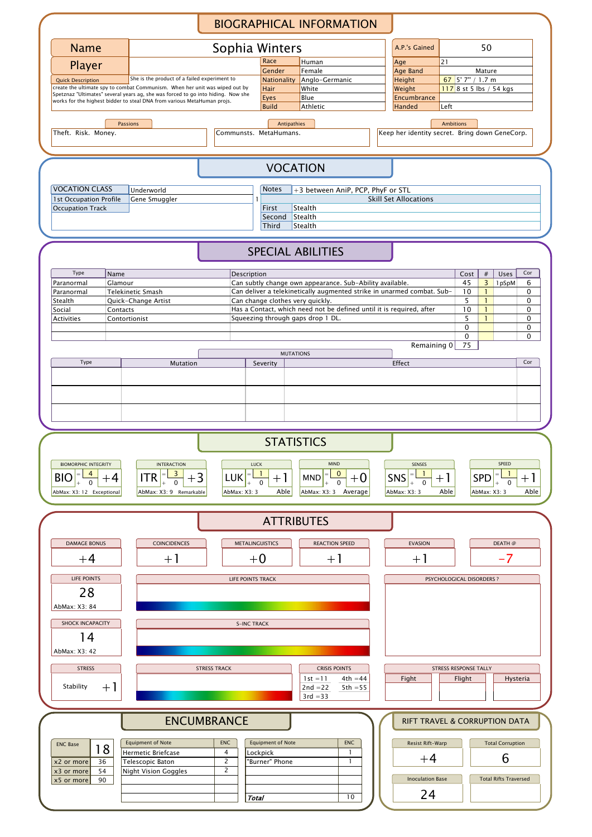